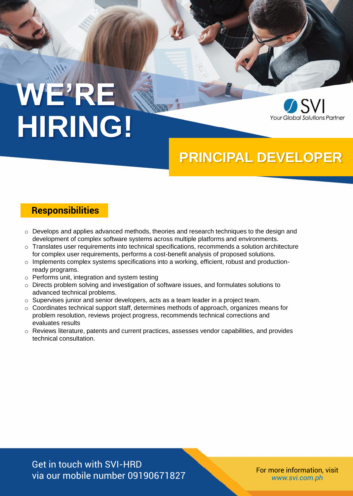# **WE'RE HIRING!**



## **PRINCIPAL DEVELOPER**

#### **Responsibilities**

- $\circ$  Develops and applies advanced methods, theories and research techniques to the design and development of complex software systems across multiple platforms and environments.
- $\circ$  Translates user requirements into technical specifications, recommends a solution architecture for complex user requirements, performs a cost-benefit analysis of proposed solutions.
- o Implements complex systems specifications into a working, efficient, robust and productionready programs.
- o Performs unit, integration and system testing
- o Directs problem solving and investigation of software issues, and formulates solutions to advanced technical problems.
- o Supervises junior and senior developers, acts as a team leader in a project team.
- $\circ$  Coordinates technical support staff, determines methods of approach, organizes means for problem resolution, reviews project progress, recommends technical corrections and evaluates results
- $\circ$  Reviews literature, patents and current practices, assesses vendor capabilities, and provides technical consultation.

Get in touch with SVI-HRD via our mobile number 09190671827

*www.svi.com.ph*